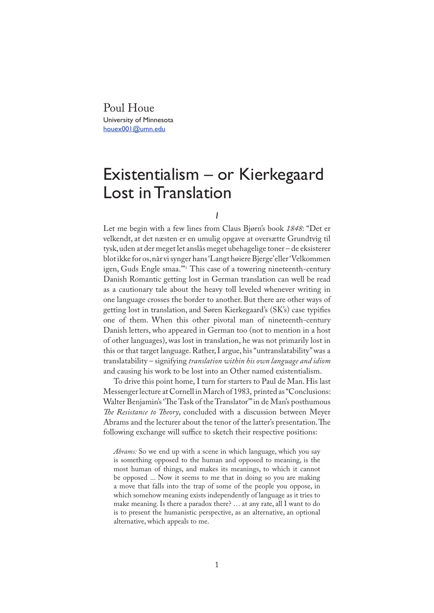Poul Houe University of Minnesota houex001@umn.edu

## Existentialism – or Kierkegaard Lost in Translation

*I*

Let me begin with a few lines from Claus Bjørn's book *1848*: "Det er velkendt, at det næsten er en umulig opgave at oversætte Grundtvig til tysk, uden at der meget let anslås meget ubehagelige toner – de eksisterer blot ikke for os, når vi synger hans 'Langt høiere Bjerge' eller 'Velkommen igen, Guds Engle smaa.'"<sup>1</sup> This case of a towering nineteenth-century Danish Romantic getting lost in German translation can well be read as a cautionary tale about the heavy toll leveled whenever writing in one language crosses the border to another. But there are other ways of getting lost in translation, and Søren Kierkegaard's (SK's) case typifies one of them. When this other pivotal man of nineteenth-century Danish letters, who appeared in German too (not to mention in a host of other languages), was lost in translation, he was not primarily lost in this or that target language. Rather, I argue, his "untranslatability" was a translatability – signifying *translation within his own language and idiom* and causing his work to be lost into an Other named existentialism.

To drive this point home, I turn for starters to Paul de Man. His last Messenger lecture at Cornell in March of 1983, printed as "Conclusions: Walter Benjamin's 'The Task of the Translator'" in de Man's posthumous *The Resistance to Theory*, concluded with a discussion between Meyer Abrams and the lecturer about the tenor of the latter's presentation. The following exchange will suffice to sketch their respective positions:

*Abrams:* So we end up with a scene in which language, which you say is something opposed to the human and opposed to meaning, is the most human of things, and makes its meanings, to which it cannot be opposed ... Now it seems to me that in doing so you are making a move that falls into the trap of some of the people you oppose, in which somehow meaning exists independently of language as it tries to make meaning. Is there a paradox there? … at any rate, all I want to do is to present the humanistic perspective, as an alternative, an optional alternative, which appeals to me.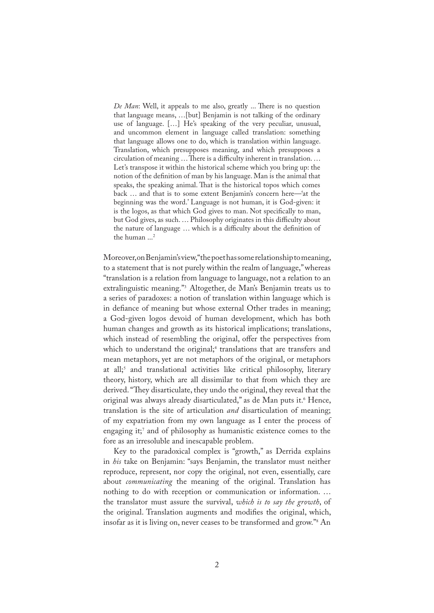*De Man*: Well, it appeals to me also, greatly ... There is no question that language means, …[but] Benjamin is not talking of the ordinary use of language. […] He's speaking of the very peculiar, unusual, and uncommon element in language called translation: something that language allows one to do, which is translation within language. Translation, which presupposes meaning, and which presupposes a circulation of meaning  $\dots$  There is a difficulty inherent in translation.  $\dots$ Let's transpose it within the historical scheme which you bring up: the notion of the definition of man by his language. Man is the animal that speaks, the speaking animal. That is the historical topos which comes back … and that is to some extent Benjamin's concern here—'at the beginning was the word.' Language is not human, it is God-given: it is the logos, as that which God gives to man. Not specifically to man, but God gives, as such. … Philosophy originates in this difficulty about the nature of language ... which is a difficulty about the definition of the human ...<sup>2</sup>

Moreover, on Benjamin's view, "the poet has some relationship to meaning, to a statement that is not purely within the realm of language," whereas "translation is a relation from language to language, not a relation to an extralinguistic meaning."<sup>3</sup> Altogether, de Man's Benjamin treats us to a series of paradoxes: a notion of translation within language which is in defiance of meaning but whose external Other trades in meaning; a God-given logos devoid of human development, which has both human changes and growth as its historical implications; translations, which instead of resembling the original, offer the perspectives from which to understand the original;<sup>4</sup> translations that are transfers and mean metaphors, yet are not metaphors of the original, or metaphors at all;<sup>5</sup> and translational activities like critical philosophy, literary theory, history, which are all dissimilar to that from which they are derived. "They disarticulate, they undo the original, they reveal that the original was always already disarticulated," as de Man puts it.<sup>6</sup> Hence, translation is the site of articulation *and* disarticulation of meaning; of my expatriation from my own language as I enter the process of engaging it;<sup>7</sup> and of philosophy as humanistic existence comes to the fore as an irresoluble and inescapable problem.

Key to the paradoxical complex is "growth," as Derrida explains in *his* take on Benjamin: "says Benjamin, the translator must neither reproduce, represent, nor copy the original, not even, essentially, care about *communicating* the meaning of the original. Translation has nothing to do with reception or communication or information. … the translator must assure the survival, *which is to say the growth*, of the original. Translation augments and modifies the original, which, insofar as it is living on, never ceases to be transformed and grow."<sup>8</sup> An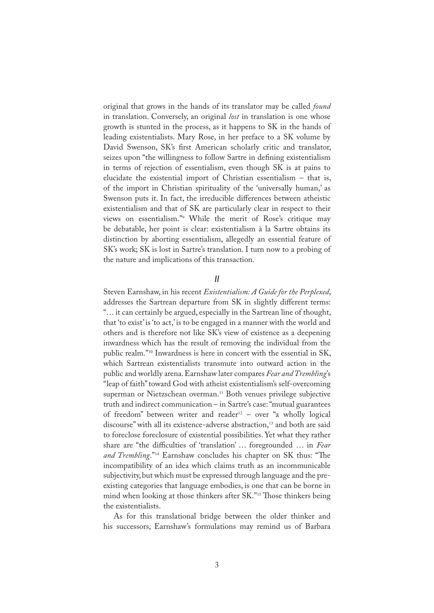original that grows in the hands of its translator may be called *found* in translation. Conversely, an original *lost* in translation is one whose growth is stunted in the process, as it happens to SK in the hands of leading existentialists. Mary Rose, in her preface to a SK volume by David Swenson, SK's first American scholarly critic and translator, seizes upon "the willingness to follow Sartre in defining existentialism in terms of rejection of essentialism, even though SK is at pains to elucidate the existential import of Christian essentialism – that is, of the import in Christian spirituality of the 'universally human,' as Swenson puts it. In fact, the irreducible differences between atheistic existentialism and that of SK are particularly clear in respect to their views on essentialism."<sup>9</sup> While the merit of Rose's critique may be debatable, her point is clear: existentialism à la Sartre obtains its distinction by aborting essentialism, allegedly an essential feature of SK's work; SK is lost in Sartre's translation. I turn now to a probing of the nature and implications of this transaction.

## *II*

Steven Earnshaw, in his recent *Existentialism: A Guide for the Perplexed*, addresses the Sartrean departure from SK in slightly different terms: "… it can certainly be argued, especially in the Sartrean line of thought, that 'to exist' is 'to act,' is to be engaged in a manner with the world and others and is therefore not like SK's view of existence as a deepening inwardness which has the result of removing the individual from the public realm."<sup>10</sup> Inwardness is here in concert with the essential in SK, which Sartrean existentialists transmute into outward action in the public and worldly arena. Earnshaw later compares *Fear and Trembling*'s "leap of faith" toward God with atheist existentialism's self-overcoming superman or Nietzschean overman.<sup>11</sup> Both venues privilege subjective truth and indirect communication – in Sartre's case: "mutual guarantees of freedom" between writer and reader<sup>12</sup> – over "a wholly logical discourse" with all its existence-adverse abstraction,<sup>13</sup> and both are said to foreclose foreclosure of existential possibilities. Yet what they rather share are "the difficulties of 'translation' … foregrounded … in *Fear and Trembling*."<sup>14</sup> Earnshaw concludes his chapter on SK thus: "The incompatibility of an idea which claims truth as an incommunicable subjectivity, but which must be expressed through language and the preexisting categories that language embodies, is one that can be borne in mind when looking at those thinkers after SK."<sup>15</sup> Those thinkers being the existentialists.

As for this translational bridge between the older thinker and his successors, Earnshaw's formulations may remind us of Barbara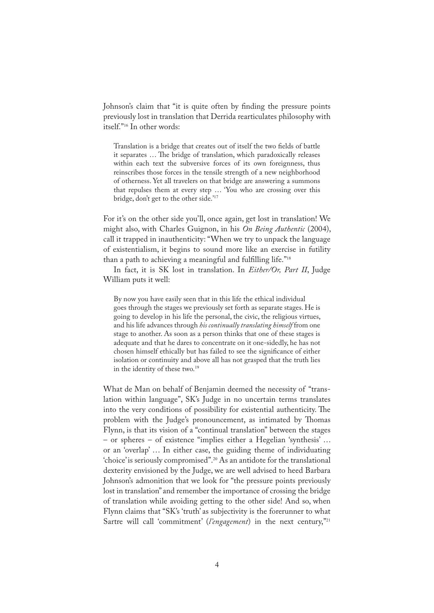Johnson's claim that "it is quite often by finding the pressure points previously lost in translation that Derrida rearticulates philosophy with itself."<sup>16</sup> In other words:

Translation is a bridge that creates out of itself the two fields of battle it separates ... The bridge of translation, which paradoxically releases within each text the subversive forces of its own foreignness, thus reinscribes those forces in the tensile strength of a new neighborhood of otherness. Yet all travelers on that bridge are answering a summons that repulses them at every step … 'You who are crossing over this bridge, don't get to the other side.'<sup>17</sup>

For it's on the other side you'll, once again, get lost in translation! We might also, with Charles Guignon, in his *On Being Authentic* (2004), call it trapped in inauthenticity: "When we try to unpack the language of existentialism, it begins to sound more like an exercise in futility than a path to achieving a meaningful and fulfilling life."<sup>18</sup>

In fact, it is SK lost in translation. In *Either/Or, Part II*, Judge William puts it well:

By now you have easily seen that in this life the ethical individual goes through the stages we previously set forth as separate stages. He is going to develop in his life the personal, the civic, the religious virtues, and his life advances through *his continually translating himself* from one stage to another. As soon as a person thinks that one of these stages is adequate and that he dares to concentrate on it one-sidedly, he has not chosen himself ethically but has failed to see the significance of either isolation or continuity and above all has not grasped that the truth lies in the identity of these two.<sup>19</sup>

What de Man on behalf of Benjamin deemed the necessity of "translation within language", SK's Judge in no uncertain terms translates into the very conditions of possibility for existential authenticity. The problem with the Judge's pronouncement, as intimated by Thomas Flynn, is that its vision of a "continual translation" between the stages – or spheres – of existence "implies either a Hegelian 'synthesis' … or an 'overlap' … In either case, the guiding theme of individuating 'choice' is seriously compromised".<sup>20</sup> As an antidote for the translational dexterity envisioned by the Judge, we are well advised to heed Barbara Johnson's admonition that we look for "the pressure points previously lost in translation" and remember the importance of crossing the bridge of translation while avoiding getting to the other side! And so, when Flynn claims that "SK's 'truth' as subjectivity is the forerunner to what Sartre will call 'commitment' (*l'engagement*) in the next century,"<sup>21</sup>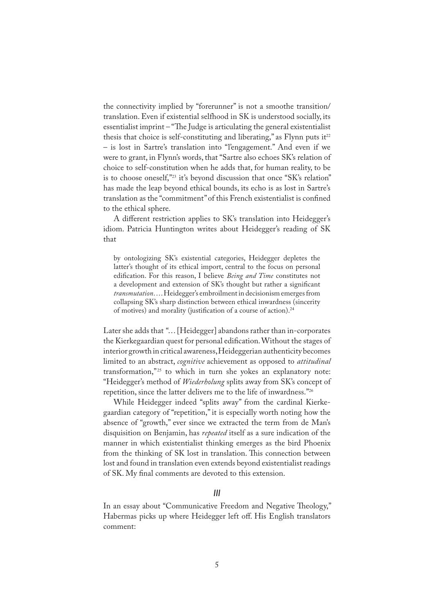the connectivity implied by "forerunner" is not a smoothe transition/ translation. Even if existential selfhood in SK is understood socially, its essentialist imprint – "The Judge is articulating the general existentialist thesis that choice is self-constituting and liberating," as Flynn puts it<sup>22</sup> – is lost in Sartre's translation into "l'engagement." And even if we were to grant, in Flynn's words, that "Sartre also echoes SK's relation of choice to self-constitution when he adds that, for human reality, to be is to choose oneself,"<sup>23</sup> it's beyond discussion that once "SK's relation" has made the leap beyond ethical bounds, its echo is as lost in Sartre's translation as the "commitment" of this French existentialist is confined to the ethical sphere.

A different restriction applies to SK's translation into Heidegger's idiom. Patricia Huntington writes about Heidegger's reading of SK that

by ontologizing SK's existential categories, Heidegger depletes the latter's thought of its ethical import, central to the focus on personal edification. For this reason, I believe *Being and Time* constitutes not a development and extension of SK's thought but rather a significant *transmutation*. … Heidegger's embroilment in decisionism emerges from collapsing SK's sharp distinction between ethical inwardness (sincerity of motives) and morality (justification of a course of action).<sup>24</sup>

Later she adds that "… [Heidegger] abandons rather than in-corporates the Kierkegaardian quest for personal edification. Without the stages of interior growth in critical awareness, Heideggerian authenticity becomes limited to an abstract, *cognitive* achievement as opposed to *attitudinal* transformation,"<sup>25</sup> to which in turn she yokes an explanatory note: "Heidegger's method of *Wiederholung* splits away from SK's concept of repetition, since the latter delivers me to the life of inwardness."<sup>26</sup>

While Heidegger indeed "splits away" from the cardinal Kierkegaardian category of "repetition," it is especially worth noting how the absence of "growth," ever since we extracted the term from de Man's disquisition on Benjamin, has *repeated* itself as a sure indication of the manner in which existentialist thinking emerges as the bird Phoenix from the thinking of SK lost in translation. This connection between lost and found in translation even extends beyond existentialist readings of SK. My final comments are devoted to this extension.

## *III*

In an essay about "Communicative Freedom and Negative Theology," Habermas picks up where Heidegger left off. His English translators comment: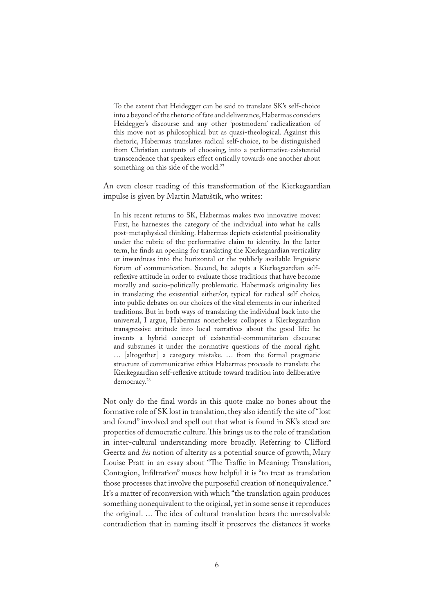To the extent that Heidegger can be said to translate SK's self-choice into a beyond of the rhetoric of fate and deliverance, Habermas considers Heidegger's discourse and any other 'postmodern' radicalization of this move not as philosophical but as quasi-theological. Against this rhetoric, Habermas translates radical self-choice, to be distinguished from Christian contents of choosing, into a performative-existential transcendence that speakers effect ontically towards one another about something on this side of the world.<sup>27</sup>

An even closer reading of this transformation of the Kierkegaardian impulse is given by Martin Matuštík, who writes:

In his recent returns to SK, Habermas makes two innovative moves: First, he harnesses the category of the individual into what he calls post-metaphysical thinking. Habermas depicts existential positionality under the rubric of the performative claim to identity. In the latter term, he finds an opening for translating the Kierkegaardian verticality or inwardness into the horizontal or the publicly available linguistic forum of communication. Second, he adopts a Kierkegaardian selfreflexive attitude in order to evaluate those traditions that have become morally and socio-politically problematic. Habermas's originality lies in translating the existential either/or, typical for radical self choice, into public debates on our choices of the vital elements in our inherited traditions. But in both ways of translating the individual back into the universal, I argue, Habermas nonetheless collapses a Kierkegaardian transgressive attitude into local narratives about the good life: he invents a hybrid concept of existential-communitarian discourse and subsumes it under the normative questions of the moral right. … [altogether] a category mistake. … from the formal pragmatic structure of communicative ethics Habermas proceeds to translate the Kierkegaardian self-reflexive attitude toward tradition into deliberative democracy.<sup>28</sup>

Not only do the final words in this quote make no bones about the formative role of SK lost in translation, they also identify the site of "lost and found" involved and spell out that what is found in SK's stead are properties of democratic culture. This brings us to the role of translation in inter-cultural understanding more broadly. Referring to Clifford Geertz and *his* notion of alterity as a potential source of growth, Mary Louise Pratt in an essay about "The Traffic in Meaning: Translation, Contagion, In�ltration" muses how helpful it is "to treat as translation those processes that involve the purposeful creation of nonequivalence." It's a matter of reconversion with which "the translation again produces something nonequivalent to the original, yet in some sense it reproduces the original. ... The idea of cultural translation bears the unresolvable contradiction that in naming itself it preserves the distances it works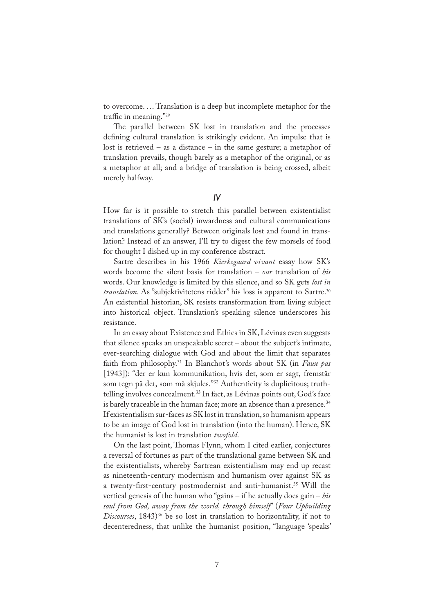to overcome. … Translation is a deep but incomplete metaphor for the traffic in meaning."<sup>29</sup>

The parallel between SK lost in translation and the processes defining cultural translation is strikingly evident. An impulse that is lost is retrieved – as a distance – in the same gesture; a metaphor of translation prevails, though barely as a metaphor of the original, or as a metaphor at all; and a bridge of translation is being crossed, albeit merely halfway.

*IV*

How far is it possible to stretch this parallel between existentialist translations of SK's (social) inwardness and cultural communications and translations generally? Between originals lost and found in translation? Instead of an answer, I'll try to digest the few morsels of food for thought I dished up in my conference abstract.

Sartre describes in his 1966 *Kierkegaard vivant* essay how SK's words become the silent basis for translation – *our* translation of *his*  words. Our knowledge is limited by this silence, and so SK gets *lost in translation*. As "subjektivitetens ridder" his loss is apparent to Sartre.<sup>30</sup> An existential historian, SK resists transformation from living subject into historical object. Translation's speaking silence underscores his resistance.

In an essay about Existence and Ethics in SK, Lévinas even suggests that silence speaks an unspeakable secret – about the subject's intimate, ever-searching dialogue with God and about the limit that separates faith from philosophy.31 In Blanchot's words about SK (in *Faux pas* [1943]): "der er kun kommunikation, hvis det, som er sagt, fremstår som tegn på det, som må skjules."32 Authenticity is duplicitous; truthtelling involves concealment.<sup>33</sup> In fact, as Lévinas points out, God's face is barely traceable in the human face; more an absence than a presence.<sup>34</sup> If existentialism sur-faces as SK lost in translation, so humanism appears to be an image of God lost in translation (into the human). Hence, SK the humanist is lost in translation *twofold*.

On the last point, Thomas Flynn, whom I cited earlier, conjectures a reversal of fortunes as part of the translational game between SK and the existentialists, whereby Sartrean existentialism may end up recast as nineteenth-century modernism and humanism over against SK as a twenty-first-century postmodernist and anti-humanist.<sup>35</sup> Will the vertical genesis of the human who "gains – if he actually does gain – *his soul from God, away from the world, through himself*" (*Four Upbuilding Discourses*, 1843)<sup>36</sup> be so lost in translation to horizontality, if not to decenteredness, that unlike the humanist position, "language 'speaks'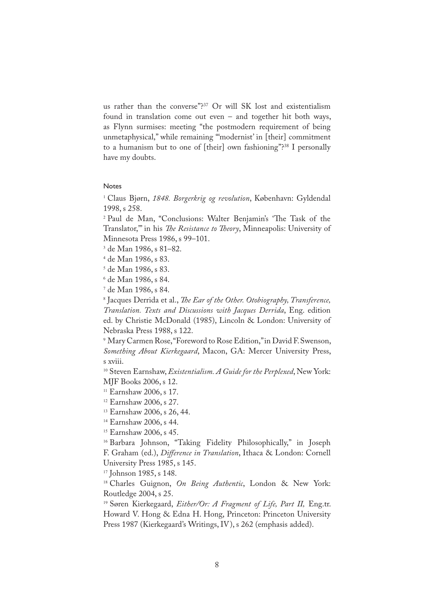us rather than the converse"?<sup>37</sup> Or will SK lost and existentialism found in translation come out even – and together hit both ways, as Flynn surmises: meeting "the postmodern requirement of being unmetaphysical," while remaining "'modernist' in [their] commitment to a humanism but to one of [their] own fashioning"?<sup>38</sup> I personally have my doubts.

## Notes

1 Claus Bjørn, *1848. Borgerkrig og revolution*, København: Gyldendal 1998, s 258.

<sup>2</sup> Paul de Man, "Conclusions: Walter Benjamin's 'The Task of the Translator," in his *The Resistance to Theory*, Minneapolis: University of Minnesota Press 1986, s 99–101.

- 3 de Man 1986, s 81–82.
- 4 de Man 1986, s 83.
- 5 de Man 1986, s 83.
- 6 de Man 1986, s 84.
- 7 de Man 1986, s 84.

8 Jacques Derrida et al., *�e Ear of the Other. Otobiography, Transference, Translation. Texts and Discussions with Jacques Derrida*, Eng. edition ed. by Christie McDonald (1985), Lincoln & London: University of Nebraska Press 1988, s 122.

9 Mary Carmen Rose, "Foreword to Rose Edition," in David F. Swenson, *Something About Kierkegaard*, Macon, GA: Mercer University Press, s xviii.

<sup>10</sup> Steven Earnshaw, *Existentialism. A Guide for the Perplexed*, New York: MJF Books 2006, s 12.

<sup>11</sup> Earnshaw 2006, s 17.

- <sup>12</sup> Earnshaw 2006, s 27.
- <sup>13</sup> Earnshaw 2006, s 26, 44.
- <sup>14</sup> Earnshaw 2006, s 44.

<sup>15</sup> Earnshaw 2006, s 45.

<sup>16</sup> Barbara Johnson, "Taking Fidelity Philosophically," in Joseph F. Graham (ed.), *Difference in Translation*, Ithaca & London: Cornell University Press 1985, s 145.

<sup>17</sup> Johnson 1985, s 148.

<sup>18</sup> Charles Guignon, *On Being Authentic*, London & New York: Routledge 2004, s 25.

<sup>19</sup> Søren Kierkegaard, *Either/Or: A Fragment of Life, Part II,* Eng.tr. Howard V. Hong & Edna H. Hong, Princeton: Princeton University Press 1987 (Kierkegaard's Writings, IV), s 262 (emphasis added).